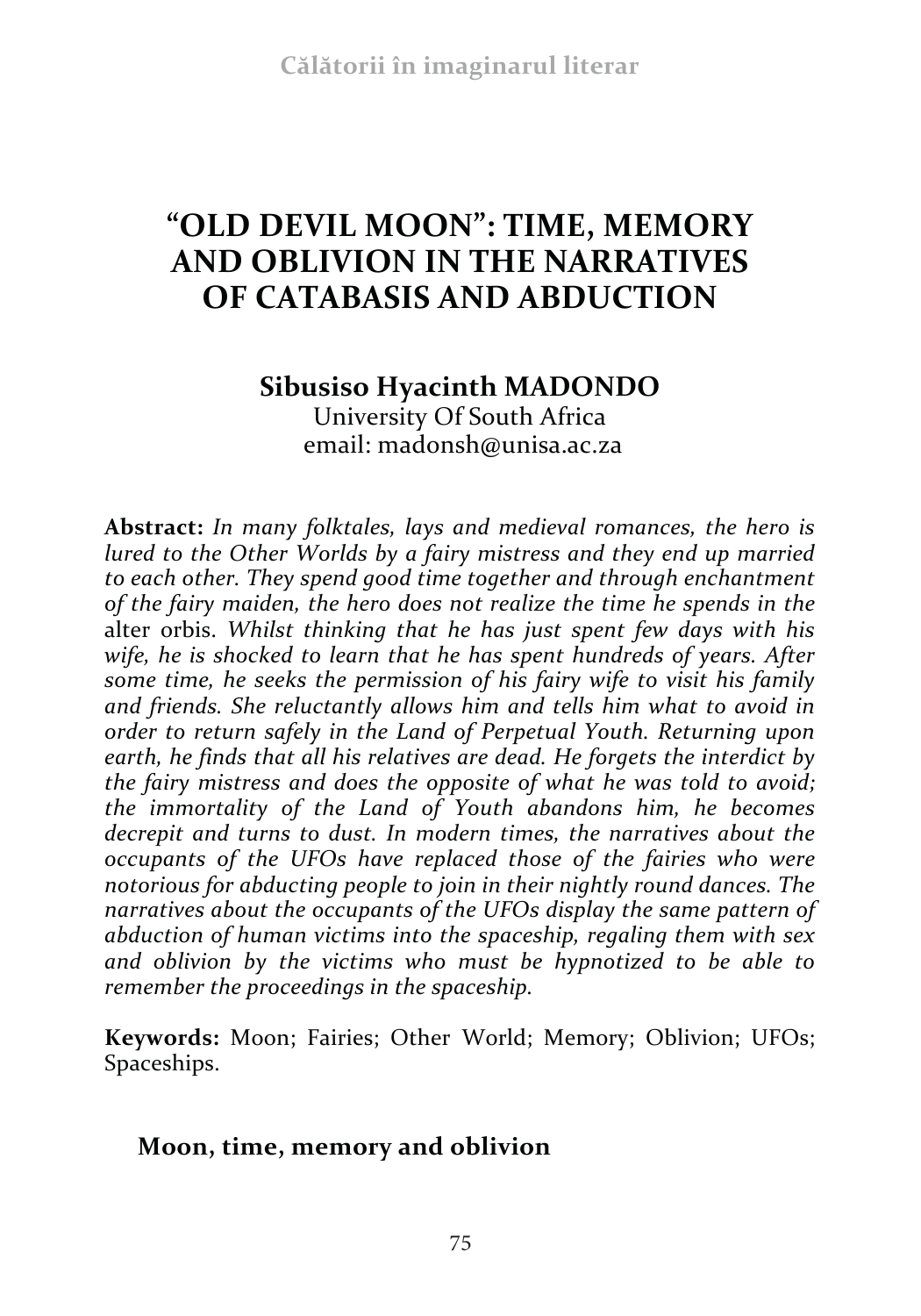# **"OLD DEVIL MOON": TIME, MEMORY AND OBLIVION IN THE NARRATIVES OF CATABASIS AND ABDUCTION**

## **Sibusiso Hyacinth MADONDO**  University Of South Africa email: madonsh@unisa.ac.za

**Abstract:** *In many folktales, lays and medieval romances, the hero is lured to the Other Worlds by a fairy mistress and they end up married to each other. They spend good time together and through enchantment of the fairy maiden, the hero does not realize the time he spends in the* alter orbis. *Whilst thinking that he has just spent few days with his wife, he is shocked to learn that he has spent hundreds of years. After some time, he seeks the permission of his fairy wife to visit his family and friends. She reluctantly allows him and tells him what to avoid in order to return safely in the Land of Perpetual Youth. Returning upon earth, he finds that all his relatives are dead. He forgets the interdict by the fairy mistress and does the opposite of what he was told to avoid; the immortality of the Land of Youth abandons him, he becomes decrepit and turns to dust. In modern times, the narratives about the occupants of the UFOs have replaced those of the fairies who were notorious for abducting people to join in their nightly round dances. The narratives about the occupants of the UFOs display the same pattern of abduction of human victims into the spaceship, regaling them with sex and oblivion by the victims who must be hypnotized to be able to remember the proceedings in the spaceship.*

**Keywords:** Moon; Fairies; Other World; Memory; Oblivion; UFOs; Spaceships.

## **Moon, time, memory and oblivion**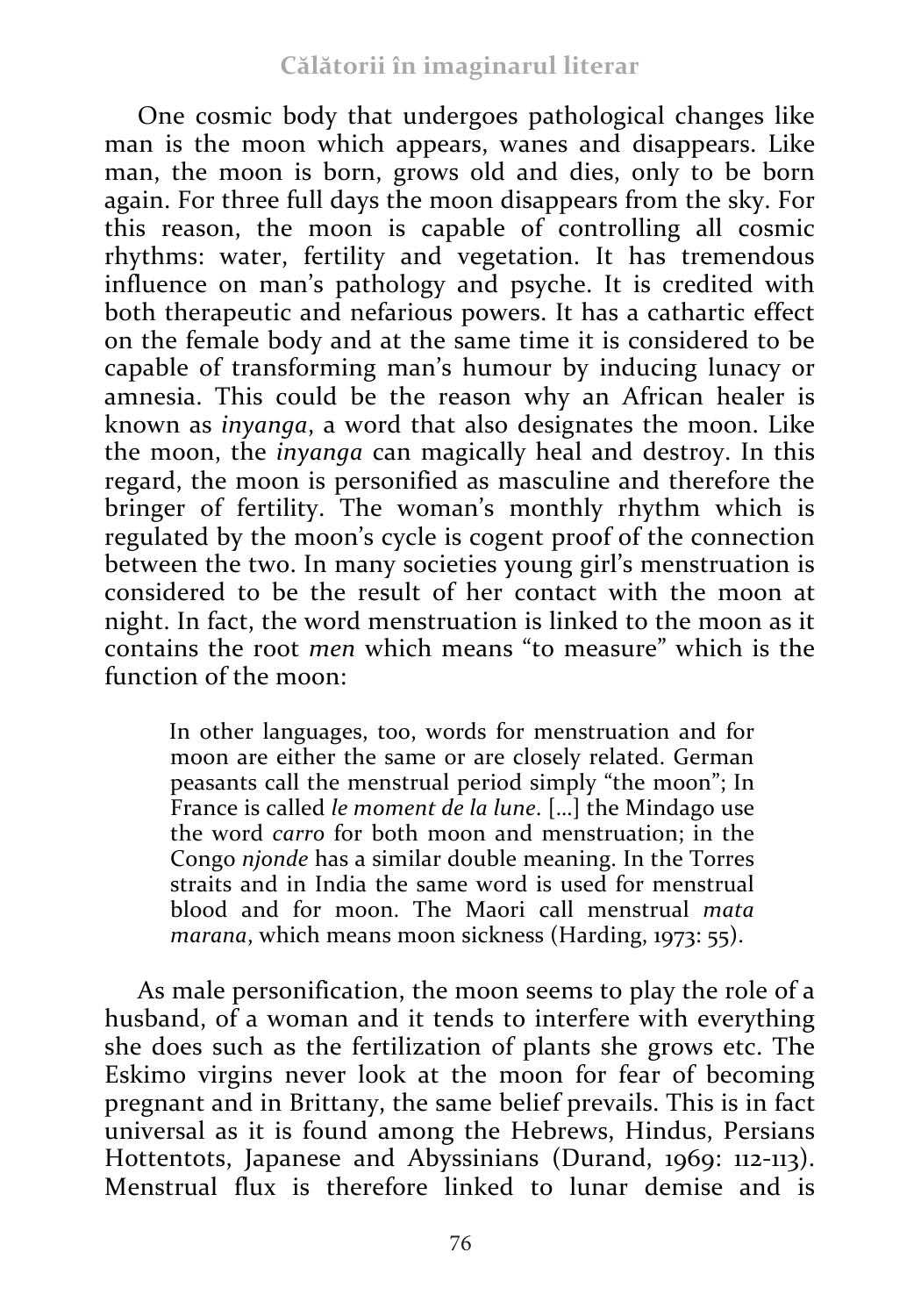One cosmic body that undergoes pathological changes like man is the moon which appears, wanes and disappears. Like man, the moon is born, grows old and dies, only to be born again. For three full days the moon disappears from the sky. For this reason, the moon is capable of controlling all cosmic rhythms: water, fertility and vegetation. It has tremendous influence on man's pathology and psyche. It is credited with both therapeutic and nefarious powers. It has a cathartic effect on the female body and at the same time it is considered to be capable of transforming man's humour by inducing lunacy or amnesia. This could be the reason why an African healer is known as *inyanga*, a word that also designates the moon. Like the moon, the *inyanga* can magically heal and destroy. In this regard, the moon is personified as masculine and therefore the bringer of fertility. The woman's monthly rhythm which is regulated by the moon's cycle is cogent proof of the connection between the two. In many societies young girl's menstruation is considered to be the result of her contact with the moon at night. In fact, the word menstruation is linked to the moon as it contains the root *men* which means "to measure" which is the function of the moon:

In other languages, too, words for menstruation and for moon are either the same or are closely related. German peasants call the menstrual period simply "the moon"; In France is called *le moment de la lune*. […] the Mindago use the word *carro* for both moon and menstruation; in the Congo *njonde* has a similar double meaning. In the Torres straits and in India the same word is used for menstrual blood and for moon. The Maori call menstrual *mata marana*, which means moon sickness (Harding, 1973: 55).

As male personification, the moon seems to play the role of a husband, of a woman and it tends to interfere with everything she does such as the fertilization of plants she grows etc. The Eskimo virgins never look at the moon for fear of becoming pregnant and in Brittany, the same belief prevails. This is in fact universal as it is found among the Hebrews, Hindus, Persians Hottentots, Japanese and Abyssinians (Durand, 1969: 112-113). Menstrual flux is therefore linked to lunar demise and is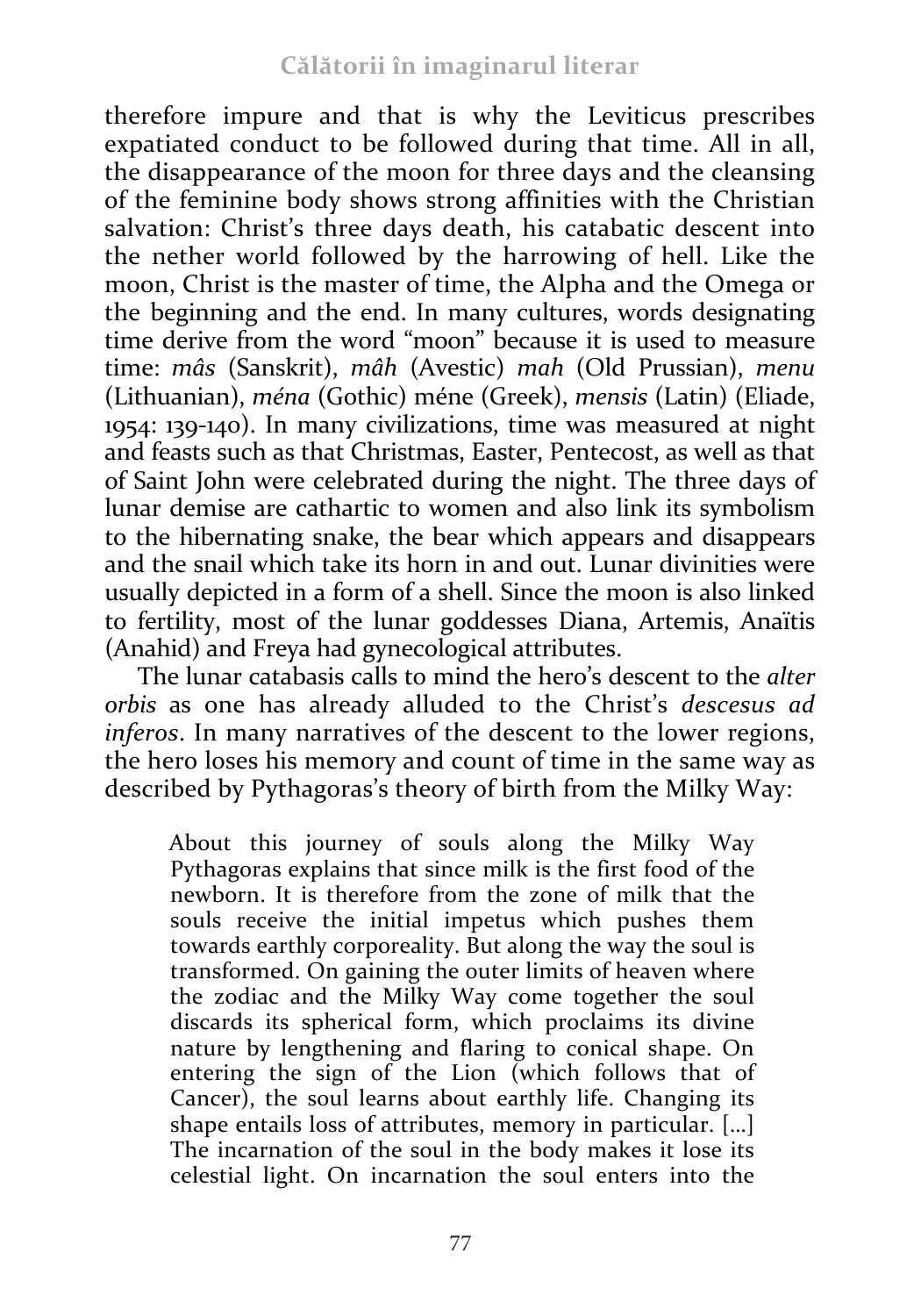therefore impure and that is why the Leviticus prescribes expatiated conduct to be followed during that time. All in all, the disappearance of the moon for three days and the cleansing of the feminine body shows strong affinities with the Christian salvation: Christ's three days death, his catabatic descent into the nether world followed by the harrowing of hell. Like the moon, Christ is the master of time, the Alpha and the Omega or the beginning and the end. In many cultures, words designating time derive from the word "moon" because it is used to measure time: *mâs* (Sanskrit), *mâh* (Avestic) *mah* (Old Prussian), *menu*  (Lithuanian), *ména* (Gothic) méne (Greek), *mensis* (Latin) (Eliade, 1954: 139-140). In many civilizations, time was measured at night and feasts such as that Christmas, Easter, Pentecost, as well as that of Saint John were celebrated during the night. The three days of lunar demise are cathartic to women and also link its symbolism to the hibernating snake, the bear which appears and disappears and the snail which take its horn in and out. Lunar divinities were usually depicted in a form of a shell. Since the moon is also linked to fertility, most of the lunar goddesses Diana, Artemis, Anaïtis (Anahid) and Freya had gynecological attributes.

The lunar catabasis calls to mind the hero's descent to the *alter orbis* as one has already alluded to the Christ's *descesus ad inferos*. In many narratives of the descent to the lower regions, the hero loses his memory and count of time in the same way as described by Pythagoras's theory of birth from the Milky Way:

About this journey of souls along the Milky Way Pythagoras explains that since milk is the first food of the newborn. It is therefore from the zone of milk that the souls receive the initial impetus which pushes them towards earthly corporeality. But along the way the soul is transformed. On gaining the outer limits of heaven where the zodiac and the Milky Way come together the soul discards its spherical form, which proclaims its divine nature by lengthening and flaring to conical shape. On entering the sign of the Lion (which follows that of Cancer), the soul learns about earthly life. Changing its shape entails loss of attributes, memory in particular. […] The incarnation of the soul in the body makes it lose its celestial light. On incarnation the soul enters into the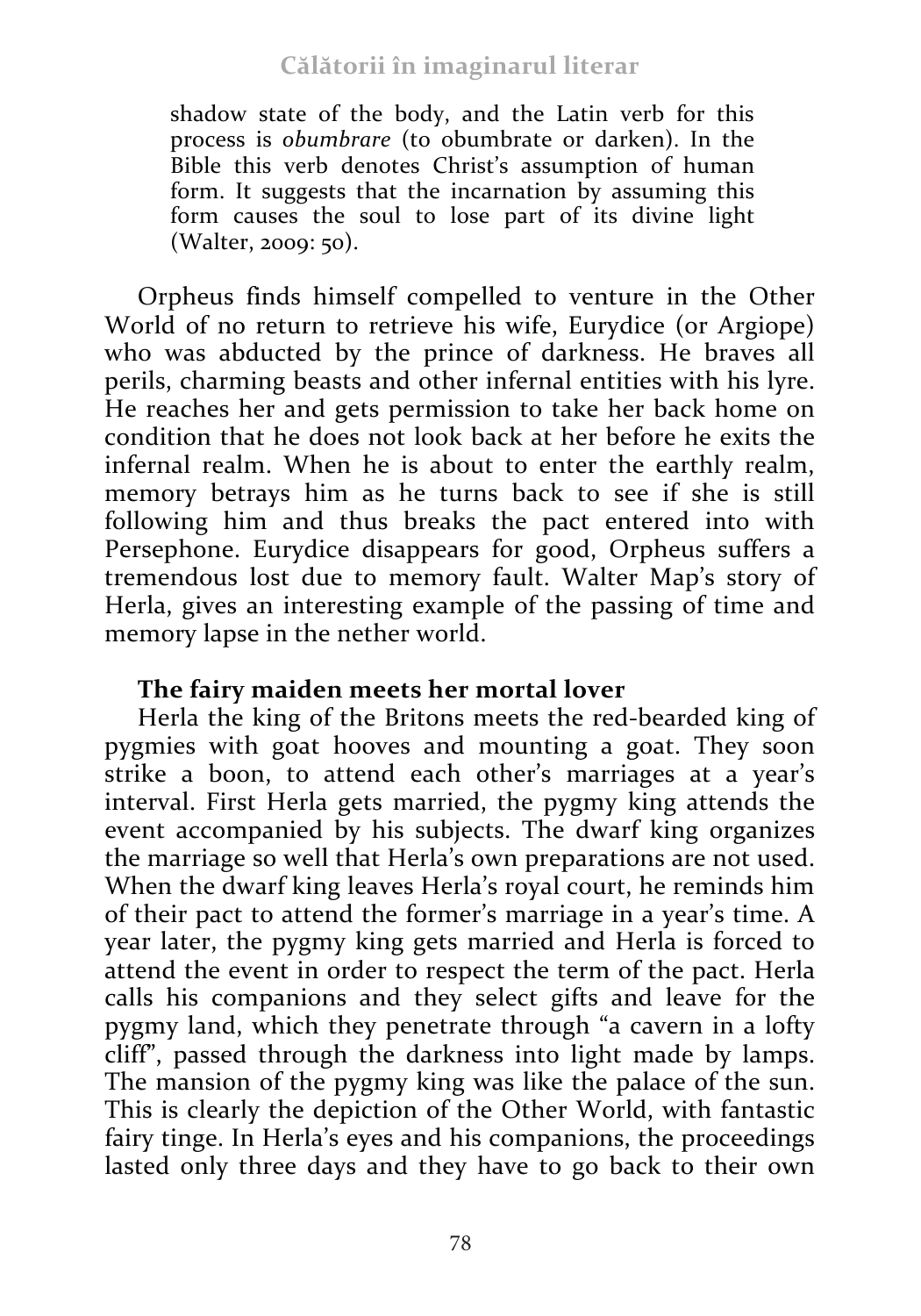shadow state of the body, and the Latin verb for this process is *obumbrare* (to obumbrate or darken). In the Bible this verb denotes Christ's assumption of human form. It suggests that the incarnation by assuming this form causes the soul to lose part of its divine light (Walter, 2009: 50).

Orpheus finds himself compelled to venture in the Other World of no return to retrieve his wife, Eurydice (or Argiope) who was abducted by the prince of darkness. He braves all perils, charming beasts and other infernal entities with his lyre. He reaches her and gets permission to take her back home on condition that he does not look back at her before he exits the infernal realm. When he is about to enter the earthly realm, memory betrays him as he turns back to see if she is still following him and thus breaks the pact entered into with Persephone. Eurydice disappears for good, Orpheus suffers a tremendous lost due to memory fault. Walter Map's story of Herla, gives an interesting example of the passing of time and memory lapse in the nether world.

#### **The fairy maiden meets her mortal lover**

Herla the king of the Britons meets the red-bearded king of pygmies with goat hooves and mounting a goat. They soon strike a boon, to attend each other's marriages at a year's interval. First Herla gets married, the pygmy king attends the event accompanied by his subjects. The dwarf king organizes the marriage so well that Herla's own preparations are not used. When the dwarf king leaves Herla's royal court, he reminds him of their pact to attend the former's marriage in a year's time. A year later, the pygmy king gets married and Herla is forced to attend the event in order to respect the term of the pact. Herla calls his companions and they select gifts and leave for the pygmy land, which they penetrate through "a cavern in a lofty cliff", passed through the darkness into light made by lamps. The mansion of the pygmy king was like the palace of the sun. This is clearly the depiction of the Other World, with fantastic fairy tinge. In Herla's eyes and his companions, the proceedings lasted only three days and they have to go back to their own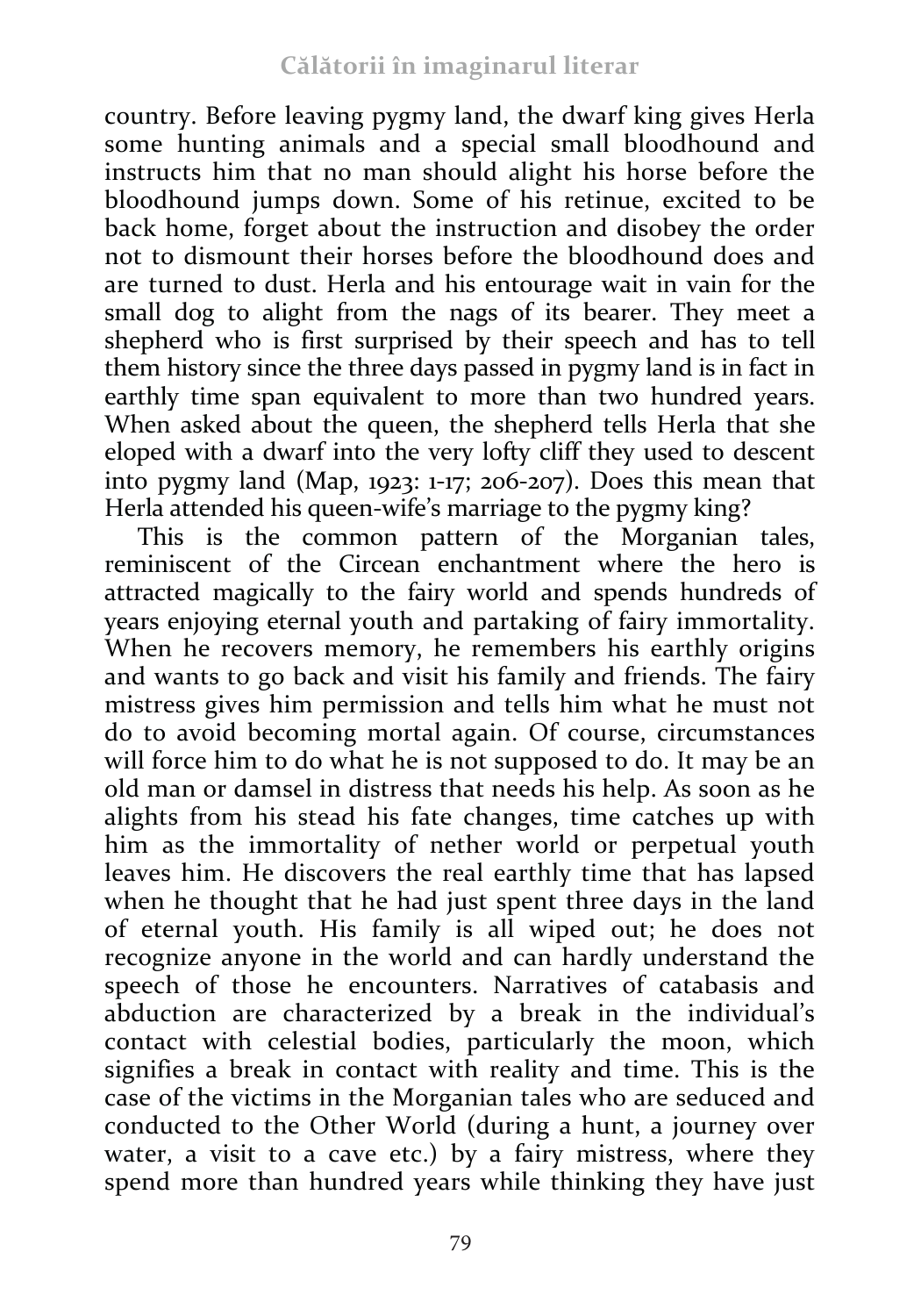country. Before leaving pygmy land, the dwarf king gives Herla some hunting animals and a special small bloodhound and instructs him that no man should alight his horse before the bloodhound jumps down. Some of his retinue, excited to be back home, forget about the instruction and disobey the order not to dismount their horses before the bloodhound does and are turned to dust. Herla and his entourage wait in vain for the small dog to alight from the nags of its bearer. They meet a shepherd who is first surprised by their speech and has to tell them history since the three days passed in pygmy land is in fact in earthly time span equivalent to more than two hundred years. When asked about the queen, the shepherd tells Herla that she eloped with a dwarf into the very lofty cliff they used to descent into pygmy land (Map, 1923: 1-17; 206-207). Does this mean that Herla attended his queen-wife's marriage to the pygmy king?

This is the common pattern of the Morganian tales, reminiscent of the Circean enchantment where the hero is attracted magically to the fairy world and spends hundreds of years enjoying eternal youth and partaking of fairy immortality. When he recovers memory, he remembers his earthly origins and wants to go back and visit his family and friends. The fairy mistress gives him permission and tells him what he must not do to avoid becoming mortal again. Of course, circumstances will force him to do what he is not supposed to do. It may be an old man or damsel in distress that needs his help. As soon as he alights from his stead his fate changes, time catches up with him as the immortality of nether world or perpetual youth leaves him. He discovers the real earthly time that has lapsed when he thought that he had just spent three days in the land of eternal youth. His family is all wiped out; he does not recognize anyone in the world and can hardly understand the speech of those he encounters. Narratives of catabasis and abduction are characterized by a break in the individual's contact with celestial bodies, particularly the moon, which signifies a break in contact with reality and time. This is the case of the victims in the Morganian tales who are seduced and conducted to the Other World (during a hunt, a journey over water, a visit to a cave etc.) by a fairy mistress, where they spend more than hundred years while thinking they have just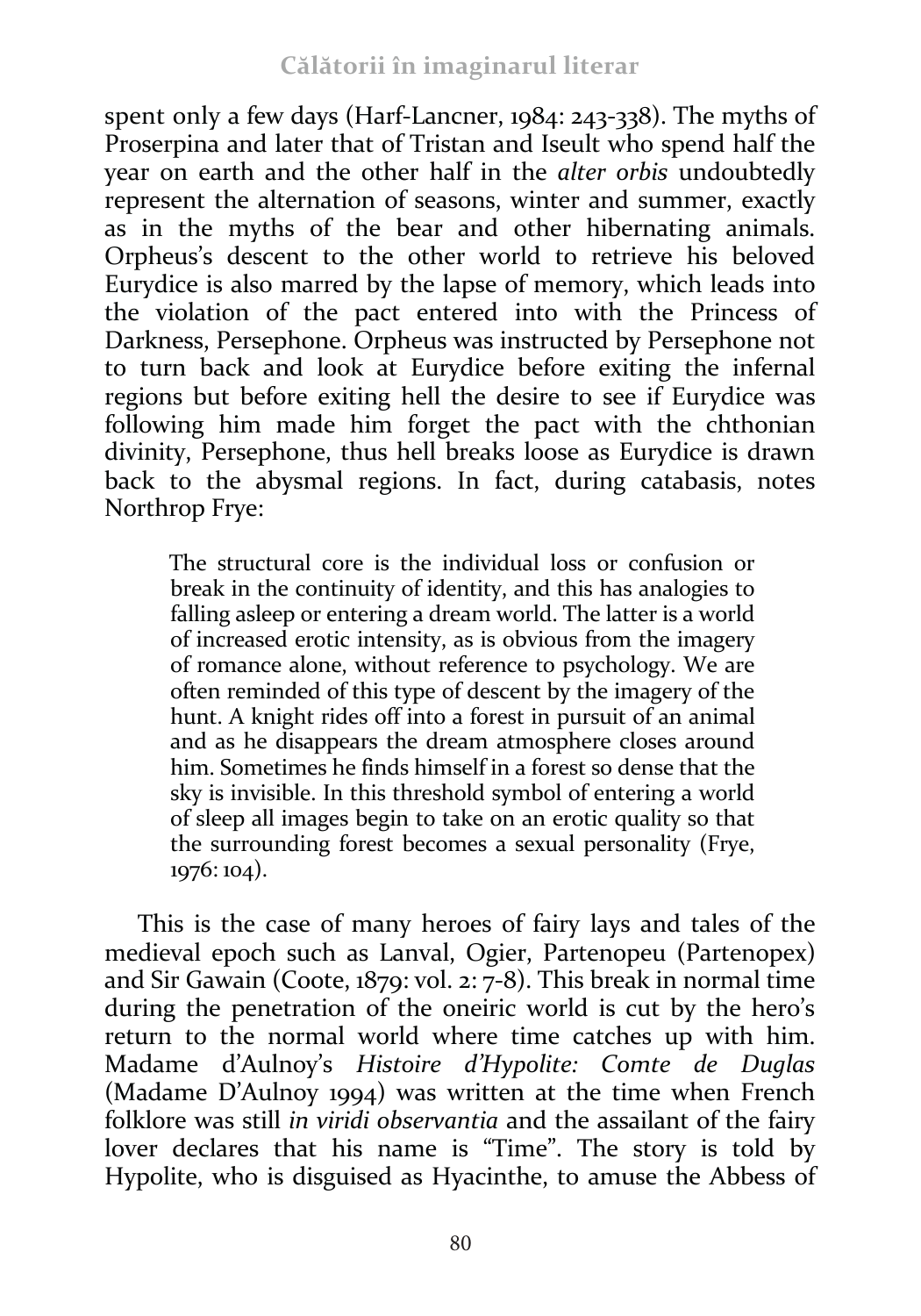spent only a few days (Harf-Lancner, 1984: 243-338). The myths of Proserpina and later that of Tristan and Iseult who spend half the year on earth and the other half in the *alter orbis* undoubtedly represent the alternation of seasons, winter and summer, exactly as in the myths of the bear and other hibernating animals. Orpheus's descent to the other world to retrieve his beloved Eurydice is also marred by the lapse of memory, which leads into the violation of the pact entered into with the Princess of Darkness, Persephone. Orpheus was instructed by Persephone not to turn back and look at Eurydice before exiting the infernal regions but before exiting hell the desire to see if Eurydice was following him made him forget the pact with the chthonian divinity, Persephone, thus hell breaks loose as Eurydice is drawn back to the abysmal regions. In fact, during catabasis, notes Northrop Frye:

The structural core is the individual loss or confusion or break in the continuity of identity, and this has analogies to falling asleep or entering a dream world. The latter is a world of increased erotic intensity, as is obvious from the imagery of romance alone, without reference to psychology. We are often reminded of this type of descent by the imagery of the hunt. A knight rides off into a forest in pursuit of an animal and as he disappears the dream atmosphere closes around him. Sometimes he finds himself in a forest so dense that the sky is invisible. In this threshold symbol of entering a world of sleep all images begin to take on an erotic quality so that the surrounding forest becomes a sexual personality (Frye, 1976: 104).

This is the case of many heroes of fairy lays and tales of the medieval epoch such as Lanval, Ogier, Partenopeu (Partenopex) and Sir Gawain (Coote, 1879: vol. 2: 7-8). This break in normal time during the penetration of the oneiric world is cut by the hero's return to the normal world where time catches up with him. Madame d'Aulnoy's *Histoire d'Hypolite: Comte de Duglas* (Madame D'Aulnoy 1994) was written at the time when French folklore was still *in viridi observantia* and the assailant of the fairy lover declares that his name is "Time". The story is told by Hypolite, who is disguised as Hyacinthe, to amuse the Abbess of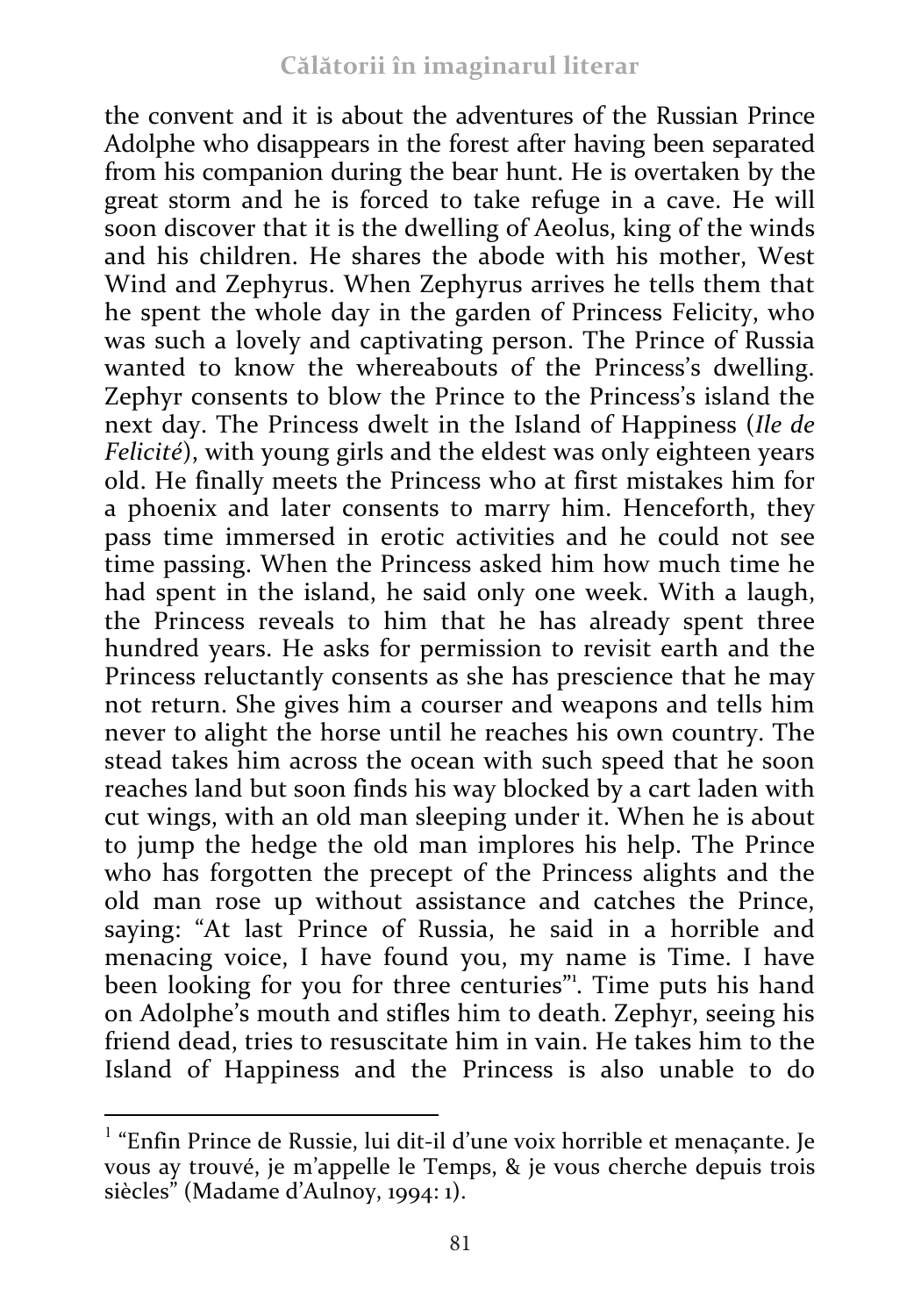the convent and it is about the adventures of the Russian Prince Adolphe who disappears in the forest after having been separated from his companion during the bear hunt. He is overtaken by the great storm and he is forced to take refuge in a cave. He will soon discover that it is the dwelling of Aeolus, king of the winds and his children. He shares the abode with his mother, West Wind and Zephyrus. When Zephyrus arrives he tells them that he spent the whole day in the garden of Princess Felicity, who was such a lovely and captivating person. The Prince of Russia wanted to know the whereabouts of the Princess's dwelling. Zephyr consents to blow the Prince to the Princess's island the next day. The Princess dwelt in the Island of Happiness (*Ile de Felicité*), with young girls and the eldest was only eighteen years old. He finally meets the Princess who at first mistakes him for a phoenix and later consents to marry him. Henceforth, they pass time immersed in erotic activities and he could not see time passing. When the Princess asked him how much time he had spent in the island, he said only one week. With a laugh, the Princess reveals to him that he has already spent three hundred years. He asks for permission to revisit earth and the Princess reluctantly consents as she has prescience that he may not return. She gives him a courser and weapons and tells him never to alight the horse until he reaches his own country. The stead takes him across the ocean with such speed that he soon reaches land but soon finds his way blocked by a cart laden with cut wings, with an old man sleeping under it. When he is about to jump the hedge the old man implores his help. The Prince who has forgotten the precept of the Princess alights and the old man rose up without assistance and catches the Prince, saying: "At last Prince of Russia, he said in a horrible and menacing voice, I have found you, my name is Time. I have been looking for you for three centuries". Time puts his hand on Adolphe's mouth and stifles him to death. Zephyr, seeing his friend dead, tries to resuscitate him in vain. He takes him to the Island of Happiness and the Princess is also unable to do

 

 $1$  "Enfin Prince de Russie, lui dit-il d'une voix horrible et menaçante. Je vous ay trouvé, je m'appelle le Temps, & je vous cherche depuis trois siècles" (Madame d'Aulnoy, 1994: 1).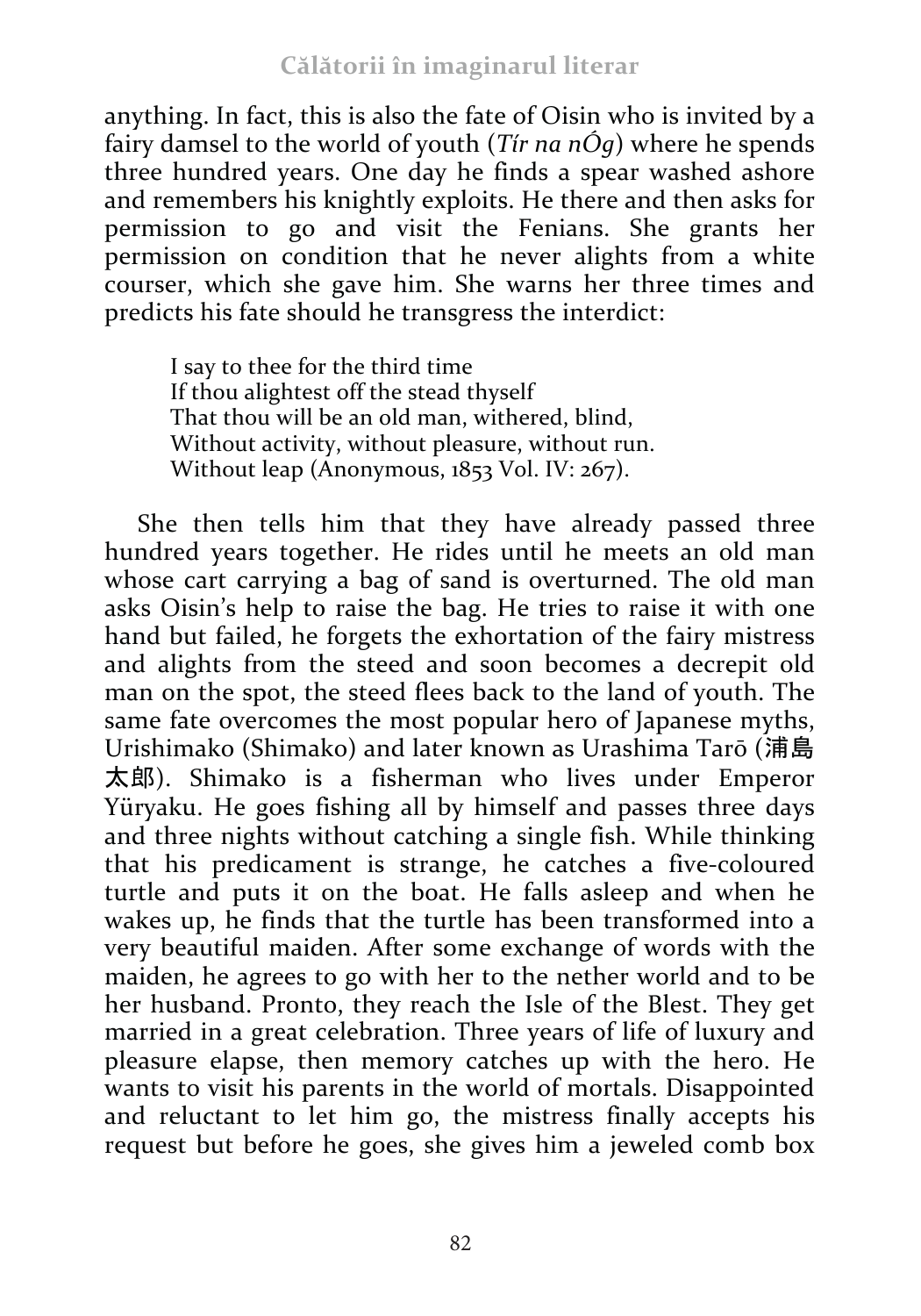anything. In fact, this is also the fate of Oisin who is invited by a fairy damsel to the world of youth (*Tír na nÓg*) where he spends three hundred years. One day he finds a spear washed ashore and remembers his knightly exploits. He there and then asks for permission to go and visit the Fenians. She grants her permission on condition that he never alights from a white courser, which she gave him. She warns her three times and predicts his fate should he transgress the interdict:

I say to thee for the third time If thou alightest off the stead thyself That thou will be an old man, withered, blind, Without activity, without pleasure, without run. Without leap (Anonymous, 1853 Vol. IV: 267).

She then tells him that they have already passed three hundred years together. He rides until he meets an old man whose cart carrying a bag of sand is overturned. The old man asks Oisin's help to raise the bag. He tries to raise it with one hand but failed, he forgets the exhortation of the fairy mistress and alights from the steed and soon becomes a decrepit old man on the spot, the steed flees back to the land of youth. The same fate overcomes the most popular hero of Japanese myths, Urishimako (Shimako) and later known as Urashima Tarō (浦島 太郎). Shimako is a fisherman who lives under Emperor Yüryaku. He goes fishing all by himself and passes three days and three nights without catching a single fish. While thinking that his predicament is strange, he catches a five-coloured turtle and puts it on the boat. He falls asleep and when he wakes up, he finds that the turtle has been transformed into a very beautiful maiden. After some exchange of words with the maiden, he agrees to go with her to the nether world and to be her husband. Pronto, they reach the Isle of the Blest. They get married in a great celebration. Three years of life of luxury and pleasure elapse, then memory catches up with the hero. He wants to visit his parents in the world of mortals. Disappointed and reluctant to let him go, the mistress finally accepts his request but before he goes, she gives him a jeweled comb box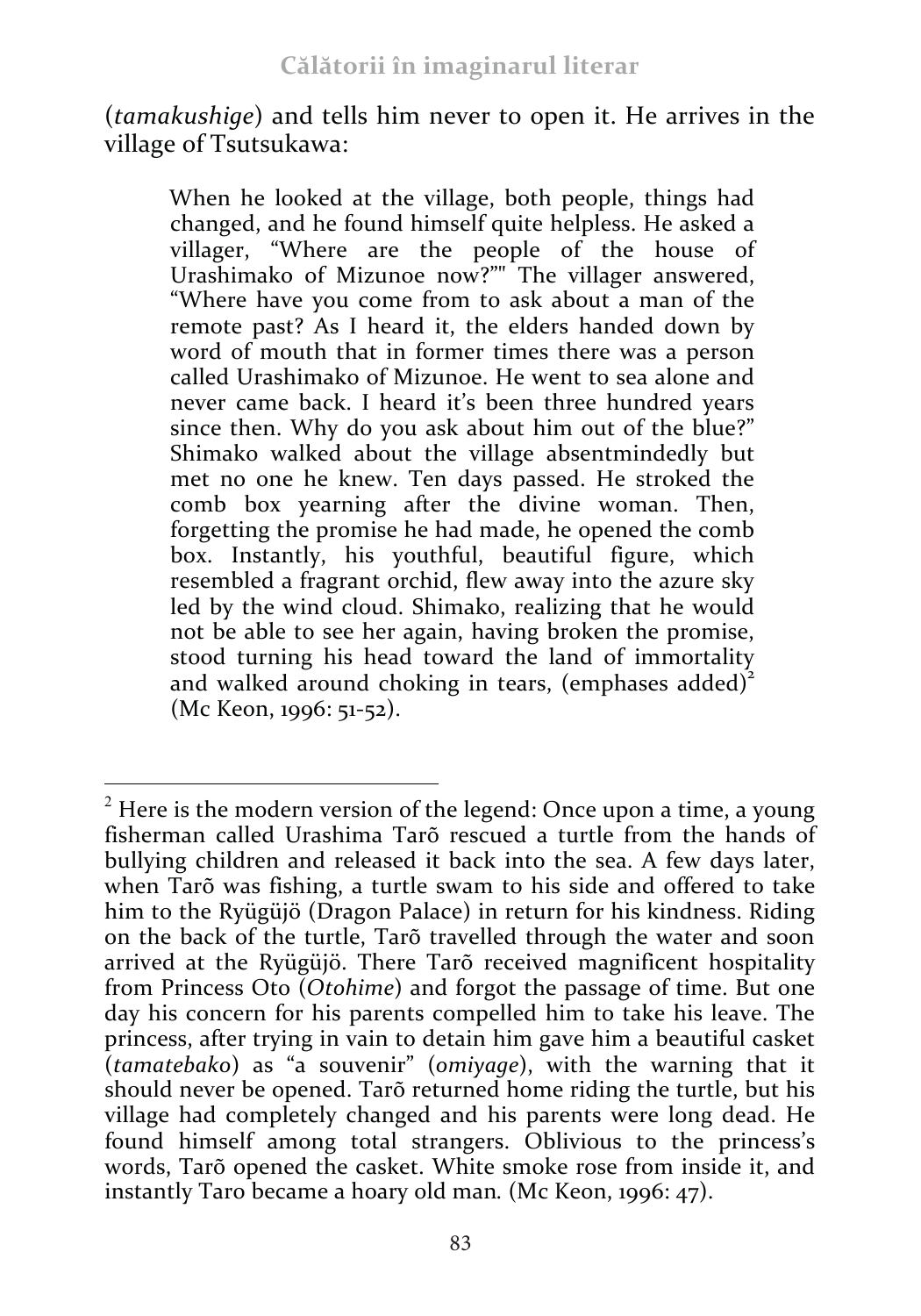(*tamakushige*) and tells him never to open it. He arrives in the village of Tsutsukawa:

When he looked at the village, both people, things had changed, and he found himself quite helpless. He asked a villager, "Where are the people of the house of Urashimako of Mizunoe now?"" The villager answered, "Where have you come from to ask about a man of the remote past? As I heard it, the elders handed down by word of mouth that in former times there was a person called Urashimako of Mizunoe. He went to sea alone and never came back. I heard it's been three hundred years since then. Why do you ask about him out of the blue?" Shimako walked about the village absentmindedly but met no one he knew. Ten days passed. He stroked the comb box yearning after the divine woman. Then, forgetting the promise he had made, he opened the comb box. Instantly, his youthful, beautiful figure, which resembled a fragrant orchid, flew away into the azure sky led by the wind cloud. Shimako, realizing that he would not be able to see her again, having broken the promise, stood turning his head toward the land of immortality and walked around choking in tears, (emphases added) $2$ (Mc Keon, 1996: 51-52).

<sup>&</sup>lt;u> 1989 - Johann Stein, marwolaethau a bh</u>  $2$  Here is the modern version of the legend: Once upon a time, a young fisherman called Urashima Tarõ rescued a turtle from the hands of bullying children and released it back into the sea. A few days later, when Tarõ was fishing, a turtle swam to his side and offered to take him to the Ryügüjö (Dragon Palace) in return for his kindness. Riding on the back of the turtle, Tarõ travelled through the water and soon arrived at the Ryügüjö. There Tarõ received magnificent hospitality from Princess Oto (*Otohime*) and forgot the passage of time. But one day his concern for his parents compelled him to take his leave. The princess, after trying in vain to detain him gave him a beautiful casket (*tamatebako*) as "a souvenir" (*omiyage*), with the warning that it should never be opened. Tarõ returned home riding the turtle, but his village had completely changed and his parents were long dead. He found himself among total strangers. Oblivious to the princess's words, Tarõ opened the casket. White smoke rose from inside it, and instantly Taro became a hoary old man*.* (Mc Keon, 1996: 47).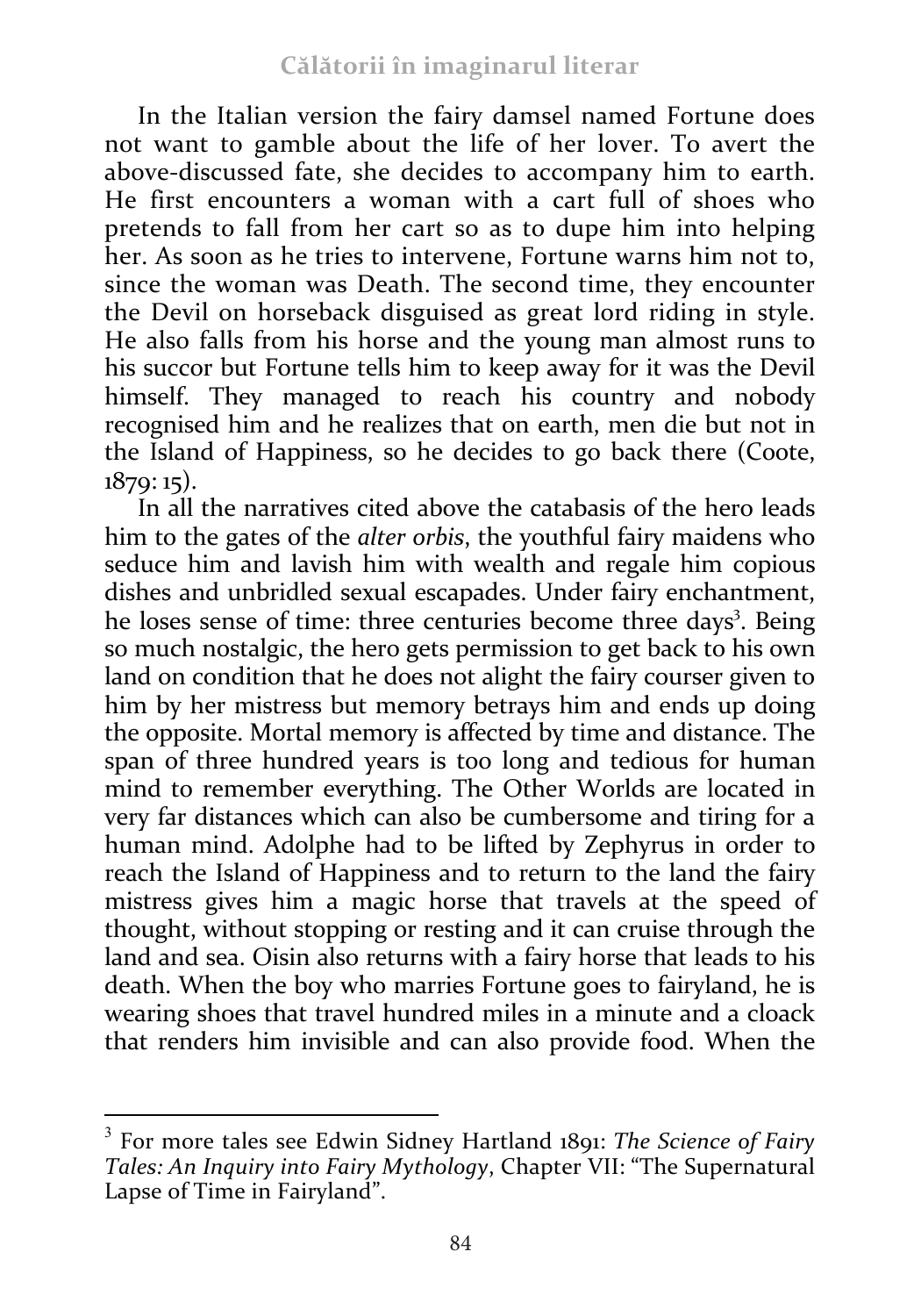In the Italian version the fairy damsel named Fortune does not want to gamble about the life of her lover. To avert the above-discussed fate, she decides to accompany him to earth. He first encounters a woman with a cart full of shoes who pretends to fall from her cart so as to dupe him into helping her. As soon as he tries to intervene, Fortune warns him not to, since the woman was Death. The second time, they encounter the Devil on horseback disguised as great lord riding in style. He also falls from his horse and the young man almost runs to his succor but Fortune tells him to keep away for it was the Devil himself. They managed to reach his country and nobody recognised him and he realizes that on earth, men die but not in the Island of Happiness, so he decides to go back there (Coote, 1879: 15).

In all the narratives cited above the catabasis of the hero leads him to the gates of the *alter orbis*, the youthful fairy maidens who seduce him and lavish him with wealth and regale him copious dishes and unbridled sexual escapades. Under fairy enchantment, he loses sense of time: three centuries become three days<sup>3</sup>. Being so much nostalgic, the hero gets permission to get back to his own land on condition that he does not alight the fairy courser given to him by her mistress but memory betrays him and ends up doing the opposite. Mortal memory is affected by time and distance. The span of three hundred years is too long and tedious for human mind to remember everything. The Other Worlds are located in very far distances which can also be cumbersome and tiring for a human mind. Adolphe had to be lifted by Zephyrus in order to reach the Island of Happiness and to return to the land the fairy mistress gives him a magic horse that travels at the speed of thought, without stopping or resting and it can cruise through the land and sea. Oisin also returns with a fairy horse that leads to his death. When the boy who marries Fortune goes to fairyland, he is wearing shoes that travel hundred miles in a minute and a cloack that renders him invisible and can also provide food. When the

 

<sup>3</sup> For more tales see Edwin Sidney Hartland 1891: *The Science of Fairy Tales: An Inquiry into Fairy Mythology*, Chapter VII: "The Supernatural Lapse of Time in Fairyland".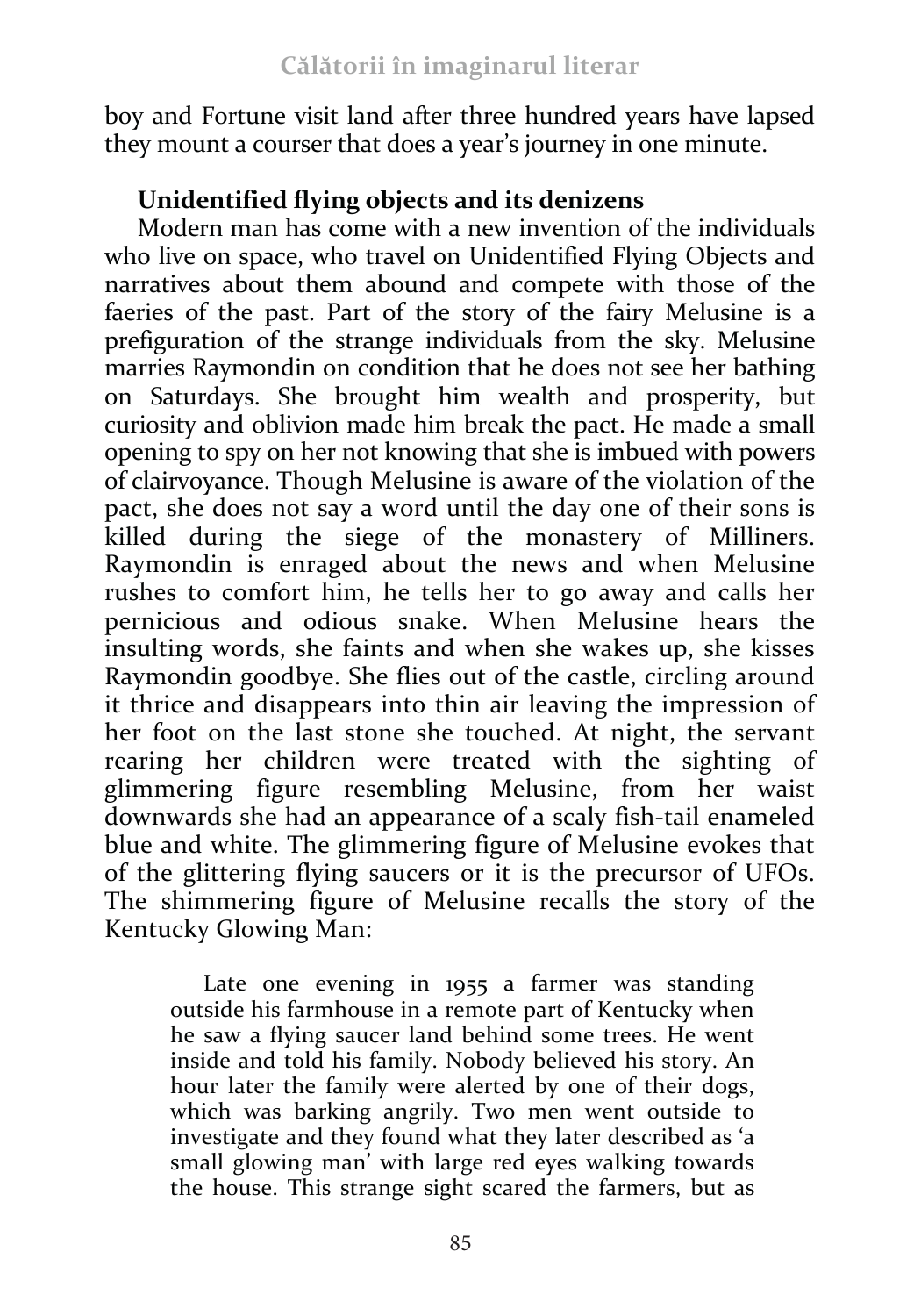boy and Fortune visit land after three hundred years have lapsed they mount a courser that does a year's journey in one minute.

# **Unidentified flying objects and its denizens**

Modern man has come with a new invention of the individuals who live on space, who travel on Unidentified Flying Objects and narratives about them abound and compete with those of the faeries of the past. Part of the story of the fairy Melusine is a prefiguration of the strange individuals from the sky. Melusine marries Raymondin on condition that he does not see her bathing on Saturdays. She brought him wealth and prosperity, but curiosity and oblivion made him break the pact. He made a small opening to spy on her not knowing that she is imbued with powers of clairvoyance. Though Melusine is aware of the violation of the pact, she does not say a word until the day one of their sons is killed during the siege of the monastery of Milliners. Raymondin is enraged about the news and when Melusine rushes to comfort him, he tells her to go away and calls her pernicious and odious snake. When Melusine hears the insulting words, she faints and when she wakes up, she kisses Raymondin goodbye. She flies out of the castle, circling around it thrice and disappears into thin air leaving the impression of her foot on the last stone she touched. At night, the servant rearing her children were treated with the sighting of glimmering figure resembling Melusine, from her waist downwards she had an appearance of a scaly fish-tail enameled blue and white. The glimmering figure of Melusine evokes that of the glittering flying saucers or it is the precursor of UFOs. The shimmering figure of Melusine recalls the story of the Kentucky Glowing Man:

Late one evening in 1955 a farmer was standing outside his farmhouse in a remote part of Kentucky when he saw a flying saucer land behind some trees. He went inside and told his family. Nobody believed his story. An hour later the family were alerted by one of their dogs, which was barking angrily. Two men went outside to investigate and they found what they later described as 'a small glowing man' with large red eyes walking towards the house. This strange sight scared the farmers, but as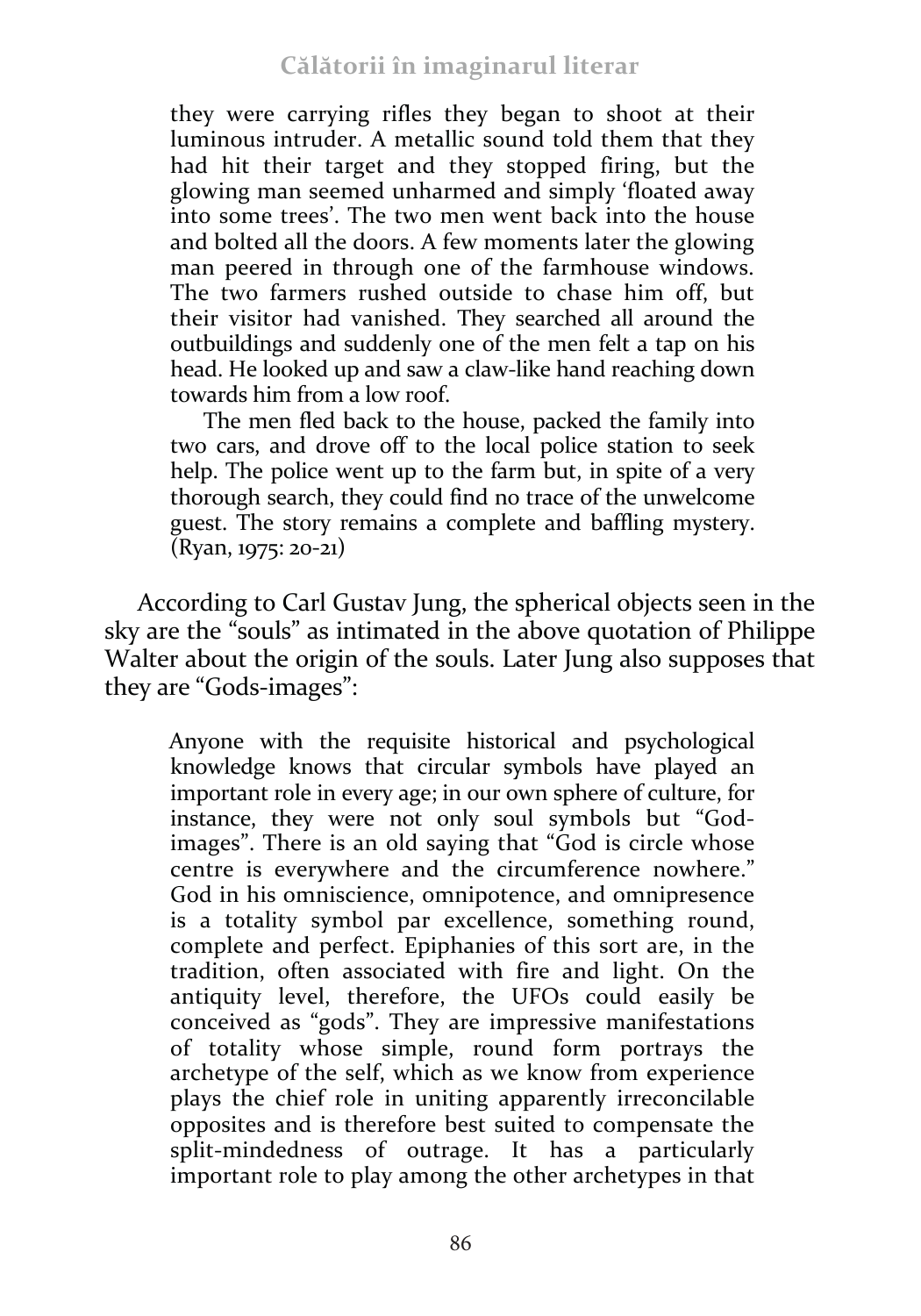they were carrying rifles they began to shoot at their luminous intruder. A metallic sound told them that they had hit their target and they stopped firing, but the glowing man seemed unharmed and simply 'floated away into some trees'. The two men went back into the house and bolted all the doors. A few moments later the glowing man peered in through one of the farmhouse windows. The two farmers rushed outside to chase him off, but their visitor had vanished. They searched all around the outbuildings and suddenly one of the men felt a tap on his head. He looked up and saw a claw-like hand reaching down towards him from a low roof.

The men fled back to the house, packed the family into two cars, and drove off to the local police station to seek help. The police went up to the farm but, in spite of a very thorough search, they could find no trace of the unwelcome guest. The story remains a complete and baffling mystery. (Ryan, 1975: 20-21)

According to Carl Gustav Jung, the spherical objects seen in the sky are the "souls" as intimated in the above quotation of Philippe Walter about the origin of the souls. Later Jung also supposes that they are "Gods-images":

Anyone with the requisite historical and psychological knowledge knows that circular symbols have played an important role in every age; in our own sphere of culture, for instance, they were not only soul symbols but "Godimages". There is an old saying that "God is circle whose centre is everywhere and the circumference nowhere." God in his omniscience, omnipotence, and omnipresence is a totality symbol par excellence, something round, complete and perfect. Epiphanies of this sort are, in the tradition, often associated with fire and light. On the antiquity level, therefore, the UFOs could easily be conceived as "gods". They are impressive manifestations of totality whose simple, round form portrays the archetype of the self, which as we know from experience plays the chief role in uniting apparently irreconcilable opposites and is therefore best suited to compensate the split-mindedness of outrage. It has a particularly important role to play among the other archetypes in that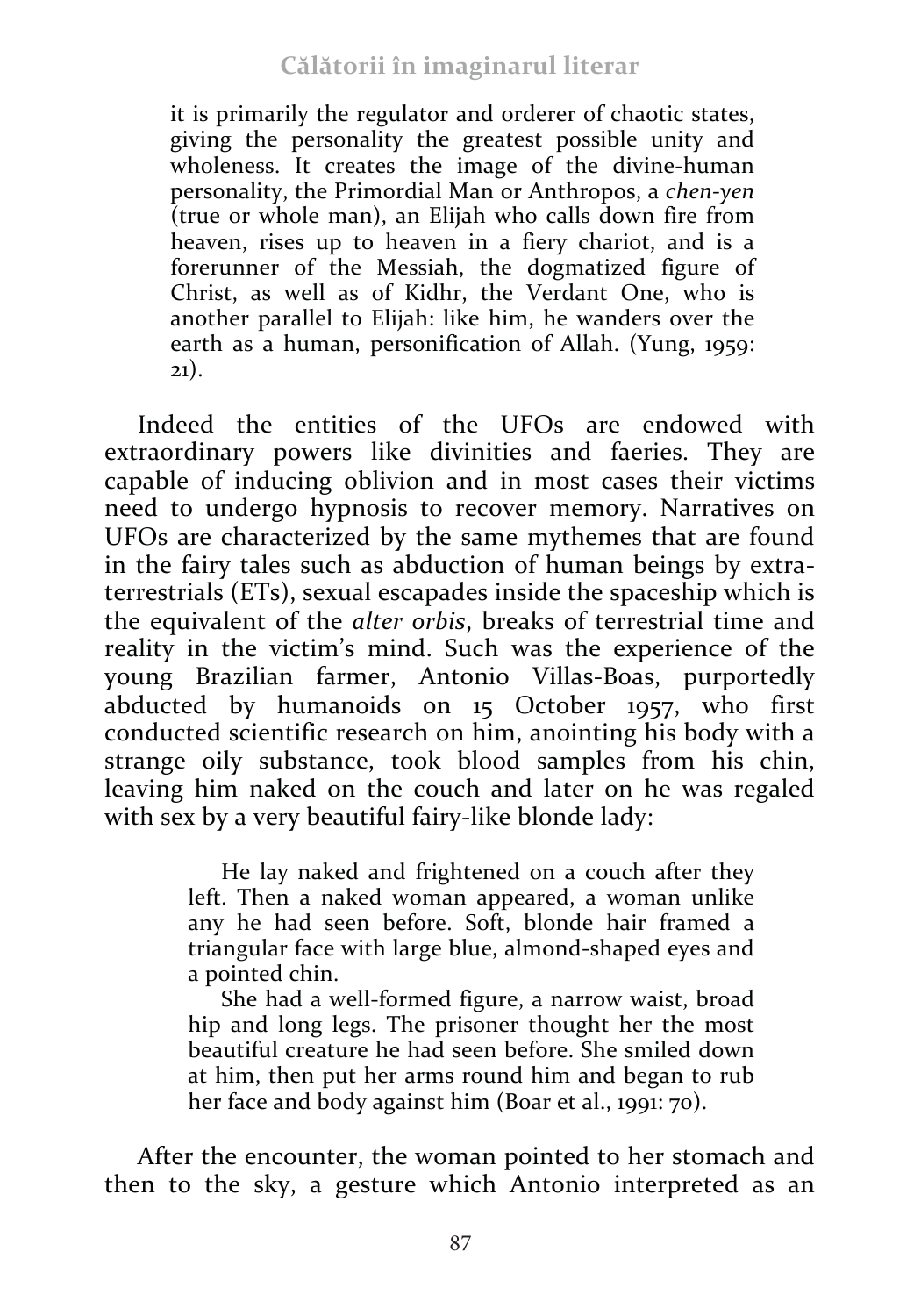it is primarily the regulator and orderer of chaotic states, giving the personality the greatest possible unity and wholeness. It creates the image of the divine-human personality, the Primordial Man or Anthropos, a *chen-yen* (true or whole man), an Elijah who calls down fire from heaven, rises up to heaven in a fiery chariot, and is a forerunner of the Messiah, the dogmatized figure of Christ, as well as of Kidhr, the Verdant One, who is another parallel to Elijah: like him, he wanders over the earth as a human, personification of Allah. (Yung, 1959: 21).

Indeed the entities of the UFOs are endowed with extraordinary powers like divinities and faeries. They are capable of inducing oblivion and in most cases their victims need to undergo hypnosis to recover memory. Narratives on UFOs are characterized by the same mythemes that are found in the fairy tales such as abduction of human beings by extraterrestrials (ETs), sexual escapades inside the spaceship which is the equivalent of the *alter orbis*, breaks of terrestrial time and reality in the victim's mind. Such was the experience of the young Brazilian farmer, Antonio Villas-Boas, purportedly abducted by humanoids on 15 October 1957, who first conducted scientific research on him, anointing his body with a strange oily substance, took blood samples from his chin, leaving him naked on the couch and later on he was regaled with sex by a very beautiful fairy-like blonde lady:

> He lay naked and frightened on a couch after they left. Then a naked woman appeared, a woman unlike any he had seen before. Soft, blonde hair framed a triangular face with large blue, almond-shaped eyes and a pointed chin.

> She had a well-formed figure, a narrow waist, broad hip and long legs. The prisoner thought her the most beautiful creature he had seen before. She smiled down at him, then put her arms round him and began to rub her face and body against him (Boar et al., 1991: 70).

After the encounter, the woman pointed to her stomach and then to the sky, a gesture which Antonio interpreted as an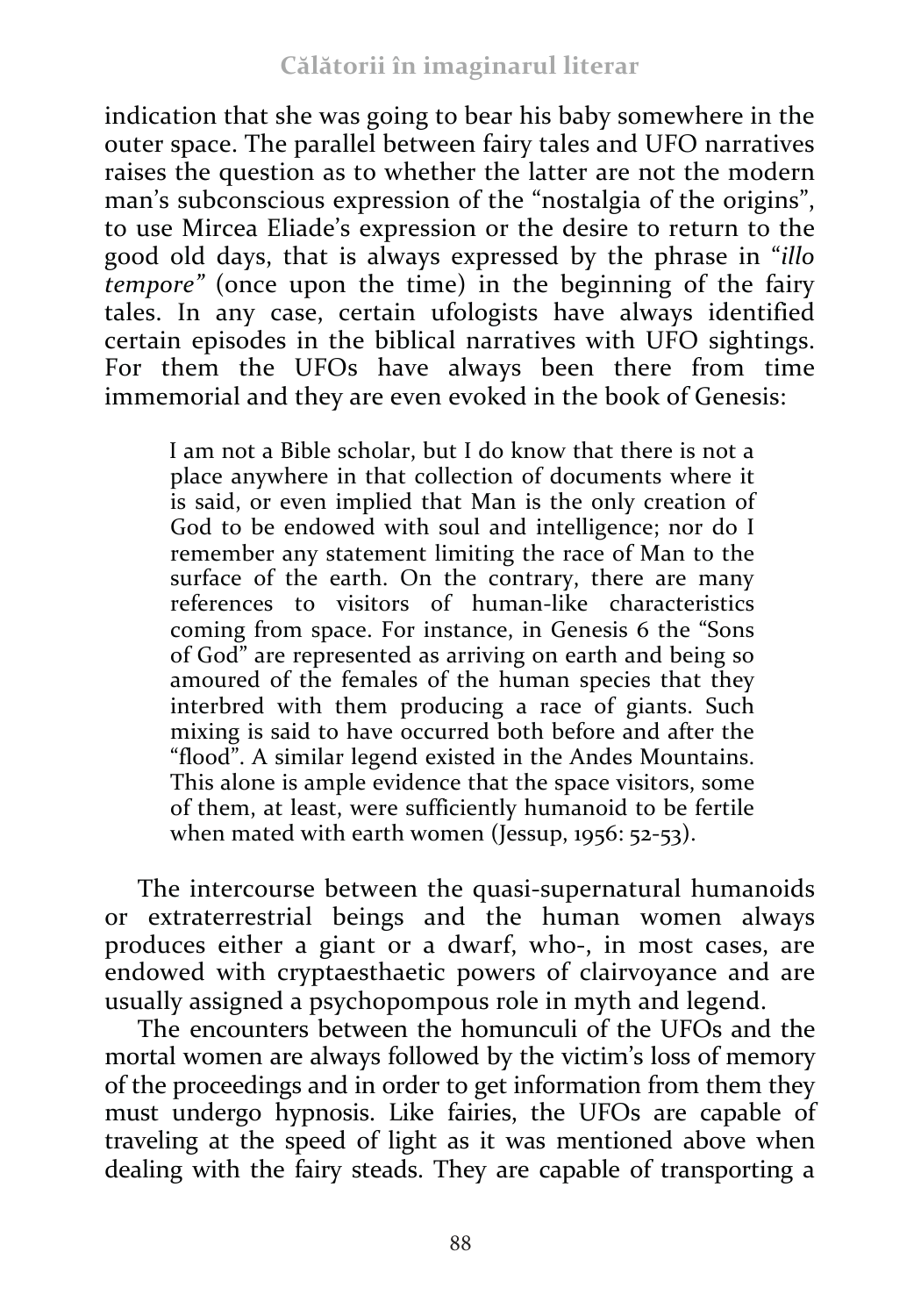indication that she was going to bear his baby somewhere in the outer space. The parallel between fairy tales and UFO narratives raises the question as to whether the latter are not the modern man's subconscious expression of the "nostalgia of the origins", to use Mircea Eliade's expression or the desire to return to the good old days, that is always expressed by the phrase in "*illo tempore"* (once upon the time) in the beginning of the fairy tales. In any case, certain ufologists have always identified certain episodes in the biblical narratives with UFO sightings. For them the UFOs have always been there from time immemorial and they are even evoked in the book of Genesis:

I am not a Bible scholar, but I do know that there is not a place anywhere in that collection of documents where it is said, or even implied that Man is the only creation of God to be endowed with soul and intelligence; nor do I remember any statement limiting the race of Man to the surface of the earth. On the contrary, there are many references to visitors of human-like characteristics coming from space. For instance, in Genesis 6 the "Sons of God" are represented as arriving on earth and being so amoured of the females of the human species that they interbred with them producing a race of giants. Such mixing is said to have occurred both before and after the "flood". A similar legend existed in the Andes Mountains. This alone is ample evidence that the space visitors, some of them, at least, were sufficiently humanoid to be fertile when mated with earth women (Jessup, 1956: 52-53).

The intercourse between the quasi-supernatural humanoids or extraterrestrial beings and the human women always produces either a giant or a dwarf, who-, in most cases, are endowed with cryptaesthaetic powers of clairvoyance and are usually assigned a psychopompous role in myth and legend.

The encounters between the homunculi of the UFOs and the mortal women are always followed by the victim's loss of memory of the proceedings and in order to get information from them they must undergo hypnosis. Like fairies, the UFOs are capable of traveling at the speed of light as it was mentioned above when dealing with the fairy steads. They are capable of transporting a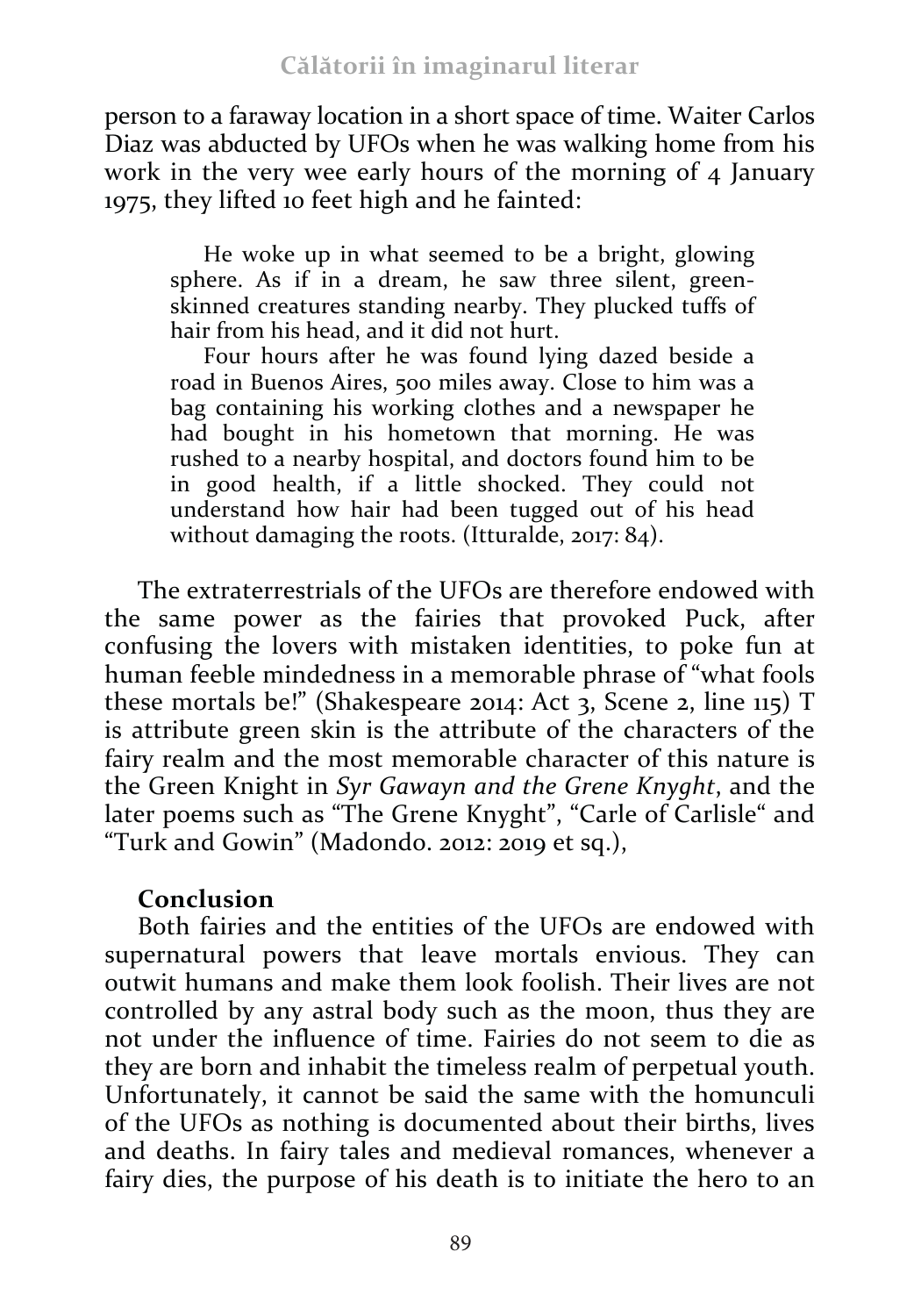person to a faraway location in a short space of time. Waiter Carlos Diaz was abducted by UFOs when he was walking home from his work in the very wee early hours of the morning of 4 January 1975, they lifted 10 feet high and he fainted:

He woke up in what seemed to be a bright, glowing sphere. As if in a dream, he saw three silent, greenskinned creatures standing nearby. They plucked tuffs of hair from his head, and it did not hurt.

Four hours after he was found lying dazed beside a road in Buenos Aires, 500 miles away. Close to him was a bag containing his working clothes and a newspaper he had bought in his hometown that morning. He was rushed to a nearby hospital, and doctors found him to be in good health, if a little shocked. They could not understand how hair had been tugged out of his head without damaging the roots. (Itturalde, 2017: 84).

The extraterrestrials of the UFOs are therefore endowed with the same power as the fairies that provoked Puck, after confusing the lovers with mistaken identities, to poke fun at human feeble mindedness in a memorable phrase of "what fools these mortals be!" (Shakespeare 2014: Act 3, Scene 2, line  $115$ ) T is attribute green skin is the attribute of the characters of the fairy realm and the most memorable character of this nature is the Green Knight in *Syr Gawayn and the Grene Knyght*, and the later poems such as "The Grene Knyght", "Carle of Carlisle" and "Turk and Gowin" (Madondo. 2012: 2019 et sq.),

## **Conclusion**

Both fairies and the entities of the UFOs are endowed with supernatural powers that leave mortals envious. They can outwit humans and make them look foolish. Their lives are not controlled by any astral body such as the moon, thus they are not under the influence of time. Fairies do not seem to die as they are born and inhabit the timeless realm of perpetual youth. Unfortunately, it cannot be said the same with the homunculi of the UFOs as nothing is documented about their births, lives and deaths. In fairy tales and medieval romances, whenever a fairy dies, the purpose of his death is to initiate the hero to an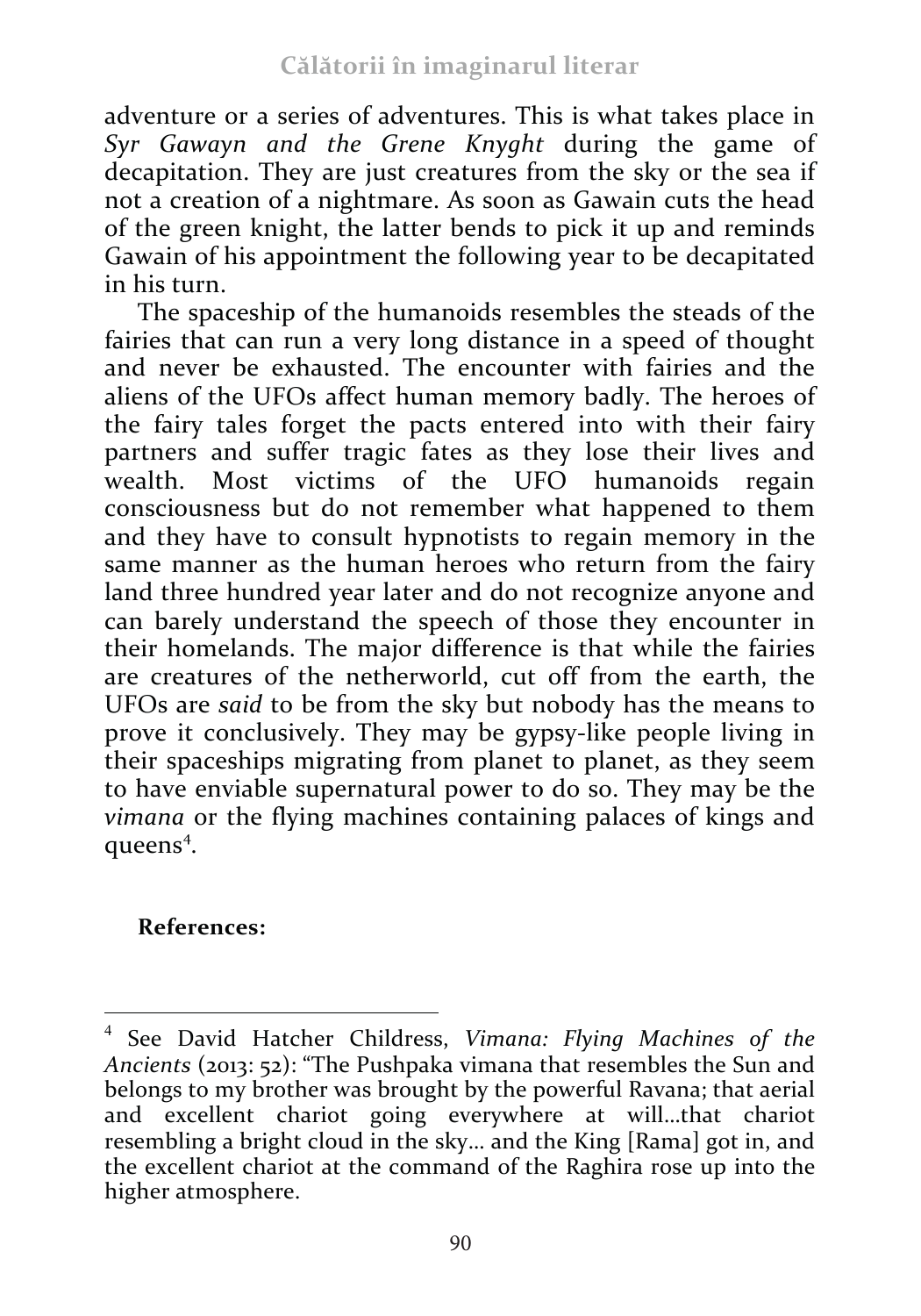adventure or a series of adventures. This is what takes place in *Syr Gawayn and the Grene Knyght* during the game of decapitation. They are just creatures from the sky or the sea if not a creation of a nightmare. As soon as Gawain cuts the head of the green knight, the latter bends to pick it up and reminds Gawain of his appointment the following year to be decapitated in his turn.

The spaceship of the humanoids resembles the steads of the fairies that can run a very long distance in a speed of thought and never be exhausted. The encounter with fairies and the aliens of the UFOs affect human memory badly. The heroes of the fairy tales forget the pacts entered into with their fairy partners and suffer tragic fates as they lose their lives and wealth. Most victims of the UFO humanoids regain consciousness but do not remember what happened to them and they have to consult hypnotists to regain memory in the same manner as the human heroes who return from the fairy land three hundred year later and do not recognize anyone and can barely understand the speech of those they encounter in their homelands. The major difference is that while the fairies are creatures of the netherworld, cut off from the earth, the UFOs are *said* to be from the sky but nobody has the means to prove it conclusively. They may be gypsy-like people living in their spaceships migrating from planet to planet, as they seem to have enviable supernatural power to do so. They may be the *vimana* or the flying machines containing palaces of kings and queens<sup>4</sup>.

# **References:**

 

<sup>4</sup> See David Hatcher Childress, *Vimana: Flying Machines of the Ancients* (2013: 52): "The Pushpaka vimana that resembles the Sun and belongs to my brother was brought by the powerful Ravana; that aerial and excellent chariot going everywhere at will…that chariot resembling a bright cloud in the sky… and the King [Rama] got in, and the excellent chariot at the command of the Raghira rose up into the higher atmosphere.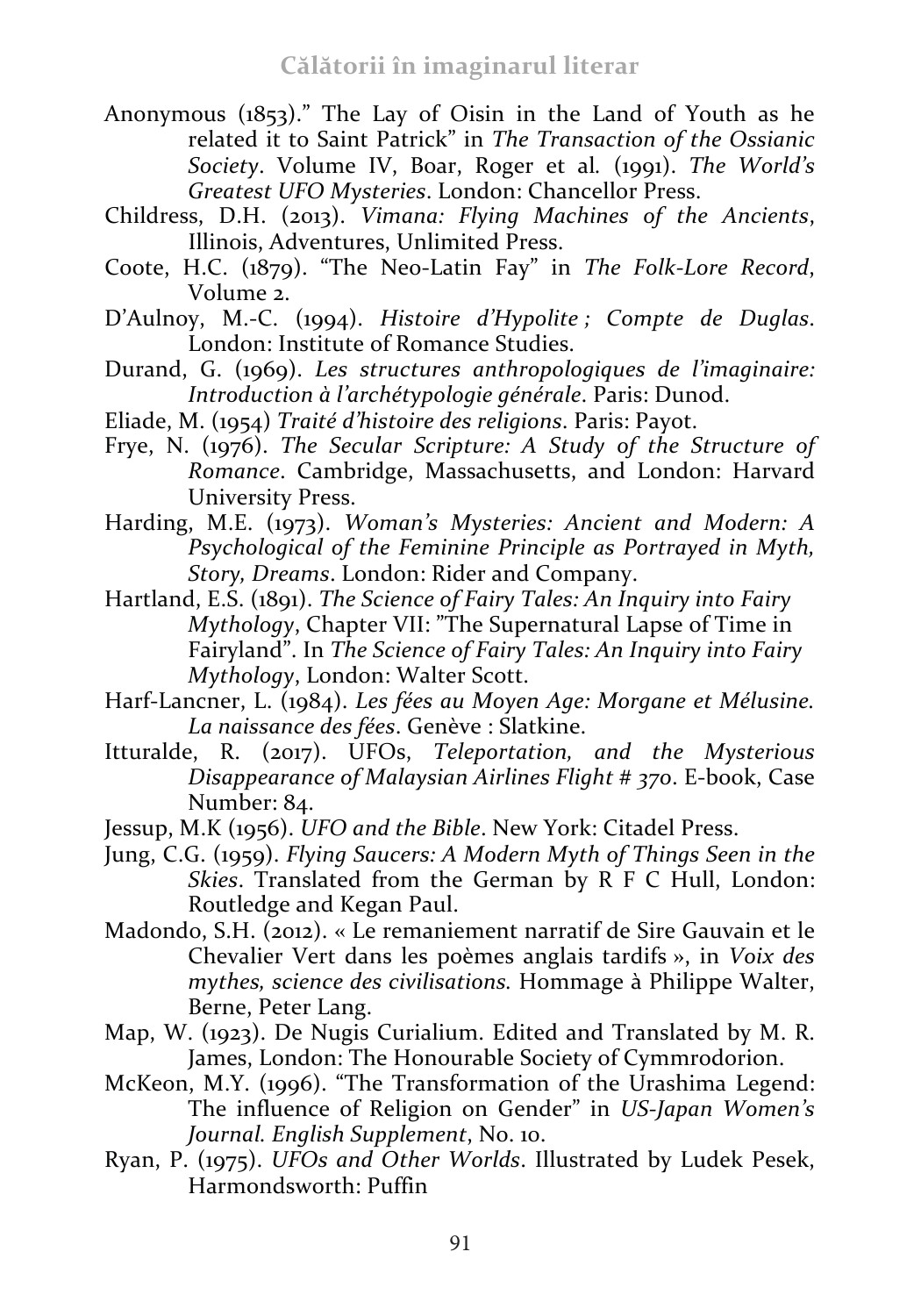- Anonymous (1853)." The Lay of Oisin in the Land of Youth as he related it to Saint Patrick" in *The Transaction of the Ossianic Society*. Volume IV, Boar, Roger et al*.* (1991). *The World's Greatest UFO Mysteries*. London: Chancellor Press.
- Childress, D.H. (2013). *Vimana: Flying Machines of the Ancients*, Illinois, Adventures, Unlimited Press.
- Coote, H.C. (1879). "The Neo-Latin Fay" in *The Folk-Lore Record*, Volume 2.
- D'Aulnoy, M.-C. (1994). *Histoire d'Hypolite ; Compte de Duglas*. London: Institute of Romance Studies.
- Durand, G. (1969). *Les structures anthropologiques de l'imaginaire: Introduction à l'archétypologie générale*. Paris: Dunod.
- Eliade, M. (1954) *Traité d'histoire des religions*. Paris: Payot.
- Frye, N. (1976). *The Secular Scripture: A Study of the Structure of Romance*. Cambridge, Massachusetts, and London: Harvard University Press.
- Harding, M.E. (1973). *Woman's Mysteries: Ancient and Modern: A Psychological of the Feminine Principle as Portrayed in Myth, Story, Dreams*. London: Rider and Company.
- Hartland, E.S. (1891). *The Science of Fairy Tales: An Inquiry into Fairy Mythology*, Chapter VII: "The Supernatural Lapse of Time in Fairyland". In *The Science of Fairy Tales: An Inquiry into Fairy Mythology*, London: Walter Scott.
- Harf-Lancner, L. (1984). *Les fées au Moyen Age: Morgane et Mélusine. La naissance des fées*. Genève : Slatkine.
- Itturalde, R. (2017). UFOs, *Teleportation, and the Mysterious Disappearance of Malaysian Airlines Flight # 370*. E-book, Case Number: 84.
- Jessup, M.K (1956). *UFO and the Bible*. New York: Citadel Press.
- Jung, C.G. (1959). *Flying Saucers: A Modern Myth of Things Seen in the Skies*. Translated from the German by R F C Hull, London: Routledge and Kegan Paul.
- Madondo, S.H. (2012). « Le remaniement narratif de Sire Gauvain et le Chevalier Vert dans les poèmes anglais tardifs », in *Voix des mythes, science des civilisations.* Hommage à Philippe Walter, Berne, Peter Lang.
- Map, W. (1923). De Nugis Curialium. Edited and Translated by M. R. James, London: The Honourable Society of Cymmrodorion.
- McKeon, M.Y. (1996). "The Transformation of the Urashima Legend: The influence of Religion on Gender" in *US-Japan Women's Journal. English Supplement*, No. 10.
- Ryan, P. (1975). *UFOs and Other Worlds*. Illustrated by Ludek Pesek, Harmondsworth: Puffin